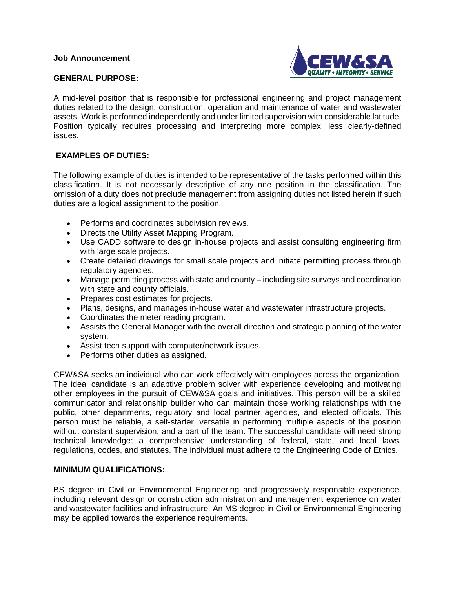

### **GENERAL PURPOSE:**

A mid-level position that is responsible for professional engineering and project management duties related to the design, construction, operation and maintenance of water and wastewater assets. Work is performed independently and under limited supervision with considerable latitude. Position typically requires processing and interpreting more complex, less clearly-defined issues.

# **EXAMPLES OF DUTIES:**

The following example of duties is intended to be representative of the tasks performed within this classification. It is not necessarily descriptive of any one position in the classification. The omission of a duty does not preclude management from assigning duties not listed herein if such duties are a logical assignment to the position.

- Performs and coordinates subdivision reviews.
- Directs the Utility Asset Mapping Program.
- Use CADD software to design in-house projects and assist consulting engineering firm with large scale projects.
- Create detailed drawings for small scale projects and initiate permitting process through regulatory agencies.
- Manage permitting process with state and county including site surveys and coordination with state and county officials.
- Prepares cost estimates for projects.
- Plans, designs, and manages in-house water and wastewater infrastructure projects.
- Coordinates the meter reading program.
- Assists the General Manager with the overall direction and strategic planning of the water system.
- Assist tech support with computer/network issues.
- Performs other duties as assigned.

CEW&SA seeks an individual who can work effectively with employees across the organization. The ideal candidate is an adaptive problem solver with experience developing and motivating other employees in the pursuit of CEW&SA goals and initiatives. This person will be a skilled communicator and relationship builder who can maintain those working relationships with the public, other departments, regulatory and local partner agencies, and elected officials. This person must be reliable, a self-starter, versatile in performing multiple aspects of the position without constant supervision, and a part of the team. The successful candidate will need strong technical knowledge; a comprehensive understanding of federal, state, and local laws, regulations, codes, and statutes. The individual must adhere to the Engineering Code of Ethics.

### **MINIMUM QUALIFICATIONS:**

BS degree in Civil or Environmental Engineering and progressively responsible experience, including relevant design or construction administration and management experience on water and wastewater facilities and infrastructure. An MS degree in Civil or Environmental Engineering may be applied towards the experience requirements.